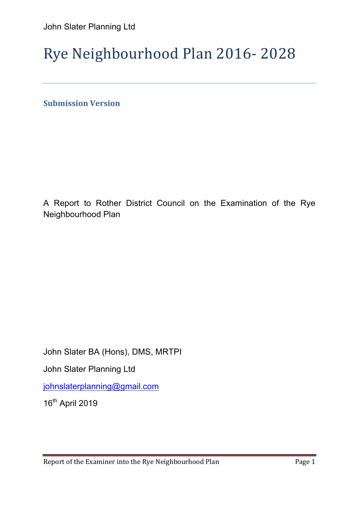# Rye Neighbourhood Plan 2016- 2028

**Submission Version** 

A Report to Rother District Council on the Examination of the Rye Neighbourhood Plan

John Slater BA (Hons), DMS, MRTPI

John Slater Planning Ltd

johnslaterplanning@gmail.com

16th April 2019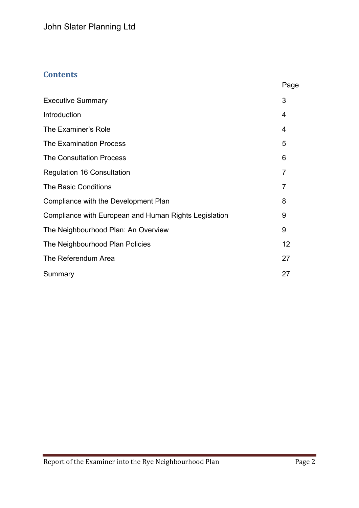# **Contents**

| ao<br>r |
|---------|
|---------|

| <b>Executive Summary</b>                              | 3  |
|-------------------------------------------------------|----|
| Introduction                                          | 4  |
| The Examiner's Role                                   | 4  |
| <b>The Examination Process</b>                        | 5  |
| <b>The Consultation Process</b>                       | 6  |
| <b>Regulation 16 Consultation</b>                     | 7  |
| The Basic Conditions                                  | 7  |
| Compliance with the Development Plan                  | 8  |
| Compliance with European and Human Rights Legislation | 9  |
| The Neighbourhood Plan: An Overview                   | 9  |
| The Neighbourhood Plan Policies                       | 12 |
| The Referendum Area                                   | 27 |
| Summary                                               | 27 |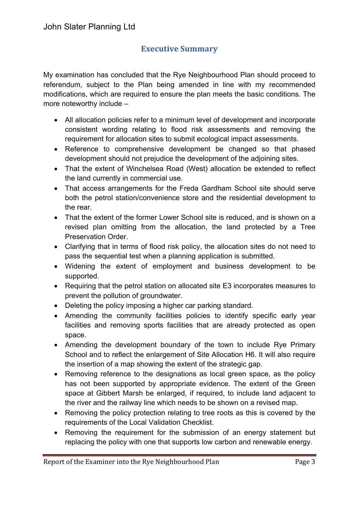# **Executive Summary**

My examination has concluded that the Rye Neighbourhood Plan should proceed to referendum, subject to the Plan being amended in line with my recommended modifications, which are required to ensure the plan meets the basic conditions. The more noteworthy include –

- All allocation policies refer to a minimum level of development and incorporate consistent wording relating to flood risk assessments and removing the requirement for allocation sites to submit ecological impact assessments.
- Reference to comprehensive development be changed so that phased development should not prejudice the development of the adjoining sites.
- That the extent of Winchelsea Road (West) allocation be extended to reflect the land currently in commercial use.
- That access arrangements for the Freda Gardham School site should serve both the petrol station/convenience store and the residential development to the rear.
- That the extent of the former Lower School site is reduced, and is shown on a revised plan omitting from the allocation, the land protected by a Tree Preservation Order.
- Clarifying that in terms of flood risk policy, the allocation sites do not need to pass the sequential test when a planning application is submitted.
- Widening the extent of employment and business development to be supported.
- Requiring that the petrol station on allocated site E3 incorporates measures to prevent the pollution of groundwater.
- Deleting the policy imposing a higher car parking standard.
- Amending the community facilities policies to identify specific early year facilities and removing sports facilities that are already protected as open space.
- Amending the development boundary of the town to include Rye Primary School and to reflect the enlargement of Site Allocation H6. It will also require the insertion of a map showing the extent of the strategic gap.
- Removing reference to the designations as local green space, as the policy has not been supported by appropriate evidence. The extent of the Green space at Gibbert Marsh be enlarged, if required, to include land adjacent to the river and the railway line which needs to be shown on a revised map.
- Removing the policy protection relating to tree roots as this is covered by the requirements of the Local Validation Checklist.
- Removing the requirement for the submission of an energy statement but replacing the policy with one that supports low carbon and renewable energy.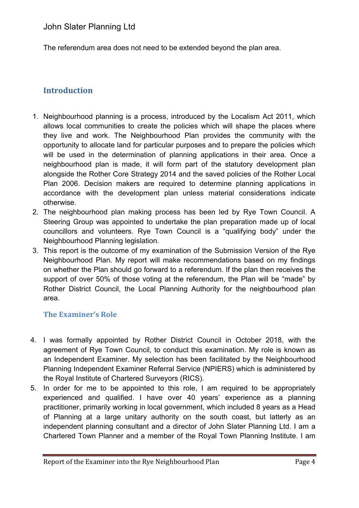The referendum area does not need to be extended beyond the plan area.

# **Introduction**

- 1. Neighbourhood planning is a process, introduced by the Localism Act 2011, which allows local communities to create the policies which will shape the places where they live and work. The Neighbourhood Plan provides the community with the opportunity to allocate land for particular purposes and to prepare the policies which will be used in the determination of planning applications in their area. Once a neighbourhood plan is made, it will form part of the statutory development plan alongside the Rother Core Strategy 2014 and the saved policies of the Rother Local Plan 2006. Decision makers are required to determine planning applications in accordance with the development plan unless material considerations indicate otherwise.
- 2. The neighbourhood plan making process has been led by Rye Town Council. A Steering Group was appointed to undertake the plan preparation made up of local councillors and volunteers. Rye Town Council is a "qualifying body" under the Neighbourhood Planning legislation.
- 3. This report is the outcome of my examination of the Submission Version of the Rye Neighbourhood Plan. My report will make recommendations based on my findings on whether the Plan should go forward to a referendum. If the plan then receives the support of over 50% of those voting at the referendum, the Plan will be "made" by Rother District Council, the Local Planning Authority for the neighbourhood plan area.

## **The Examiner's Role**

- 4. I was formally appointed by Rother District Council in October 2018, with the agreement of Rye Town Council, to conduct this examination. My role is known as an Independent Examiner. My selection has been facilitated by the Neighbourhood Planning Independent Examiner Referral Service (NPIERS) which is administered by the Royal Institute of Chartered Surveyors (RICS).
- 5. In order for me to be appointed to this role, I am required to be appropriately experienced and qualified. I have over 40 years' experience as a planning practitioner, primarily working in local government, which included 8 years as a Head of Planning at a large unitary authority on the south coast, but latterly as an independent planning consultant and a director of John Slater Planning Ltd. I am a Chartered Town Planner and a member of the Royal Town Planning Institute. I am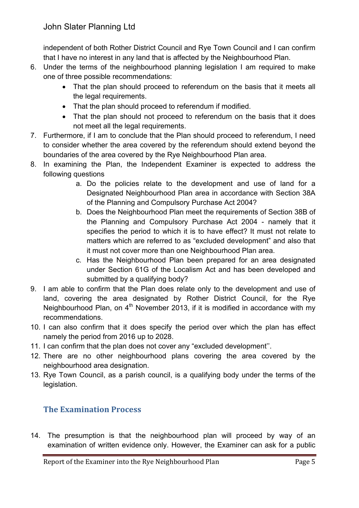independent of both Rother District Council and Rye Town Council and I can confirm that I have no interest in any land that is affected by the Neighbourhood Plan.

- 6. Under the terms of the neighbourhood planning legislation I am required to make one of three possible recommendations:
	- That the plan should proceed to referendum on the basis that it meets all the legal requirements.
	- That the plan should proceed to referendum if modified.
	- That the plan should not proceed to referendum on the basis that it does not meet all the legal requirements.
- 7. Furthermore, if I am to conclude that the Plan should proceed to referendum, I need to consider whether the area covered by the referendum should extend beyond the boundaries of the area covered by the Rye Neighbourhood Plan area.
- 8. In examining the Plan, the Independent Examiner is expected to address the following questions
	- a. Do the policies relate to the development and use of land for a Designated Neighbourhood Plan area in accordance with Section 38A of the Planning and Compulsory Purchase Act 2004?
	- b. Does the Neighbourhood Plan meet the requirements of Section 38B of the Planning and Compulsory Purchase Act 2004 - namely that it specifies the period to which it is to have effect? It must not relate to matters which are referred to as "excluded development" and also that it must not cover more than one Neighbourhood Plan area.
	- c. Has the Neighbourhood Plan been prepared for an area designated under Section 61G of the Localism Act and has been developed and submitted by a qualifying body?
- 9. I am able to confirm that the Plan does relate only to the development and use of land, covering the area designated by Rother District Council, for the Rye Neighbourhood Plan, on  $4<sup>th</sup>$  November 2013, if it is modified in accordance with my recommendations.
- 10. I can also confirm that it does specify the period over which the plan has effect namely the period from 2016 up to 2028.
- 11. I can confirm that the plan does not cover any "excluded development''.
- 12. There are no other neighbourhood plans covering the area covered by the neighbourhood area designation.
- 13. Rye Town Council, as a parish council, is a qualifying body under the terms of the legislation.

# **The Examination Process**

14. The presumption is that the neighbourhood plan will proceed by way of an examination of written evidence only. However, the Examiner can ask for a public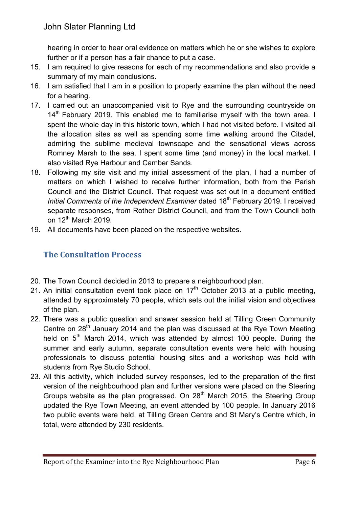hearing in order to hear oral evidence on matters which he or she wishes to explore further or if a person has a fair chance to put a case.

- 15. I am required to give reasons for each of my recommendations and also provide a summary of my main conclusions.
- 16. I am satisfied that I am in a position to properly examine the plan without the need for a hearing.
- 17. I carried out an unaccompanied visit to Rye and the surrounding countryside on  $14<sup>th</sup>$  February 2019. This enabled me to familiarise myself with the town area. I spent the whole day in this historic town, which I had not visited before. I visited all the allocation sites as well as spending some time walking around the Citadel, admiring the sublime medieval townscape and the sensational views across Romney Marsh to the sea. I spent some time (and money) in the local market. I also visited Rye Harbour and Camber Sands.
- 18. Following my site visit and my initial assessment of the plan, I had a number of matters on which I wished to receive further information, both from the Parish Council and the District Council. That request was set out in a document entitled *Initial Comments of the Independent Examiner* dated 18th February 2019. I received separate responses, from Rother District Council, and from the Town Council both on  $12^{th}$  March 2019.
- 19. All documents have been placed on the respective websites.

## **The Consultation Process**

- 20. The Town Council decided in 2013 to prepare a neighbourhood plan.
- 21. An initial consultation event took place on  $17<sup>th</sup>$  October 2013 at a public meeting, attended by approximately 70 people, which sets out the initial vision and objectives of the plan.
- 22. There was a public question and answer session held at Tilling Green Community Centre on 28<sup>th</sup> January 2014 and the plan was discussed at the Rye Town Meeting held on  $5<sup>th</sup>$  March 2014, which was attended by almost 100 people. During the summer and early autumn, separate consultation events were held with housing professionals to discuss potential housing sites and a workshop was held with students from Rye Studio School.
- 23. All this activity, which included survey responses, led to the preparation of the first version of the neighbourhood plan and further versions were placed on the Steering Groups website as the plan progressed. On 28<sup>th</sup> March 2015, the Steering Group updated the Rye Town Meeting, an event attended by 100 people. In January 2016 two public events were held, at Tilling Green Centre and St Mary's Centre which, in total, were attended by 230 residents.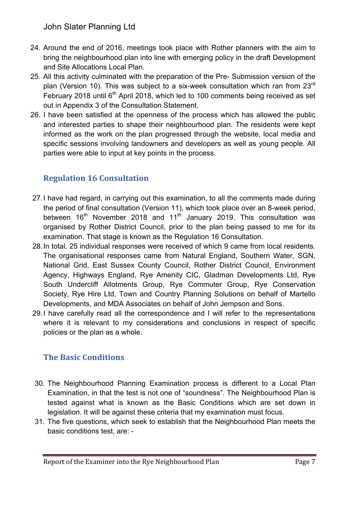John Slater Planning Ltd

- 24. Around the end of 2016, meetings took place with Rother planners with the aim to bring the neighbourhood plan into line with emerging policy in the draft Development and Site Allocations Local Plan.
- 25. All this activity culminated with the preparation of the Pre- Submission version of the plan (Version 10). This was subject to a six-week consultation which ran from 23<sup>rd</sup> February 2018 until  $6<sup>th</sup>$  April 2018, which led to 100 comments being received as set out in Appendix 3 of the Consultation Statement.
- 26. I have been satisfied at the openness of the process which has allowed the public and interested parties to shape their neighbourhood plan. The residents were kept informed as the work on the plan progressed through the website, local media and specific sessions involving landowners and developers as well as young people. All parties were able to input at key points in the process.

# **Regulation 16 Consultation**

- 27.I have had regard, in carrying out this examination, to all the comments made during the period of final consultation (Version 11), which took place over an 8-week period, between  $16<sup>th</sup>$  November 2018 and  $11<sup>th</sup>$  January 2019. This consultation was organised by Rother District Council, prior to the plan being passed to me for its examination. That stage is known as the Regulation 16 Consultation.
- 28.In total, 25 individual responses were received of which 9 came from local residents. The organisational responses came from Natural England, Southern Water, SGN, National Grid, East Sussex County Council, Rother District Council, Environment Agency, Highways England, Rye Amenity CIC, Gladman Developments Ltd, Rye South Undercliff Allotments Group, Rye Commuter Group, Rye Conservation Society, Rye Hire Ltd, Town and Country Planning Solutions on behalf of Martello Developments, and MDA Associates on behalf of John Jempson and Sons.
- 29.I have carefully read all the correspondence and I will refer to the representations where it is relevant to my considerations and conclusions in respect of specific policies or the plan as a whole.

# **The Basic Conditions**

- 30. The Neighbourhood Planning Examination process is different to a Local Plan Examination, in that the test is not one of "soundness". The Neighbourhood Plan is tested against what is known as the Basic Conditions which are set down in legislation. It will be against these criteria that my examination must focus.
- 31. The five questions, which seek to establish that the Neighbourhood Plan meets the basic conditions test, are: -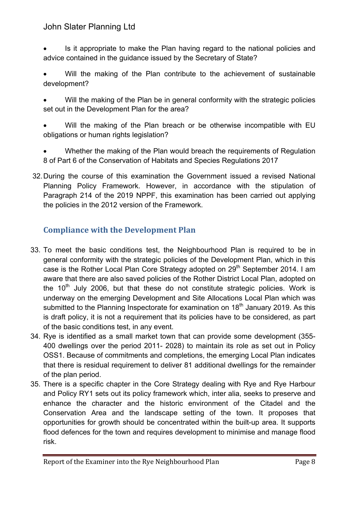## John Slater Planning Ltd

- Is it appropriate to make the Plan having regard to the national policies and advice contained in the guidance issued by the Secretary of State?
- Will the making of the Plan contribute to the achievement of sustainable development?
- Will the making of the Plan be in general conformity with the strategic policies set out in the Development Plan for the area?
- Will the making of the Plan breach or be otherwise incompatible with EU obligations or human rights legislation?
- Whether the making of the Plan would breach the requirements of Regulation 8 of Part 6 of the Conservation of Habitats and Species Regulations 2017
- 32.During the course of this examination the Government issued a revised National Planning Policy Framework. However, in accordance with the stipulation of Paragraph 214 of the 2019 NPPF, this examination has been carried out applying the policies in the 2012 version of the Framework.

# **Compliance with the Development Plan**

- 33. To meet the basic conditions test, the Neighbourhood Plan is required to be in general conformity with the strategic policies of the Development Plan, which in this case is the Rother Local Plan Core Strategy adopted on 29<sup>th</sup> September 2014. I am aware that there are also saved policies of the Rother District Local Plan, adopted on the  $10<sup>th</sup>$  July 2006, but that these do not constitute strategic policies. Work is underway on the emerging Development and Site Allocations Local Plan which was submitted to the Planning Inspectorate for examination on  $18<sup>th</sup>$  January 2019. As this is draft policy, it is not a requirement that its policies have to be considered, as part of the basic conditions test, in any event.
- 34. Rye is identified as a small market town that can provide some development (355- 400 dwellings over the period 2011- 2028) to maintain its role as set out in Policy OSS1. Because of commitments and completions, the emerging Local Plan indicates that there is residual requirement to deliver 81 additional dwellings for the remainder of the plan period.
- 35. There is a specific chapter in the Core Strategy dealing with Rye and Rye Harbour and Policy RY1 sets out its policy framework which, inter alia, seeks to preserve and enhance the character and the historic environment of the Citadel and the Conservation Area and the landscape setting of the town. It proposes that opportunities for growth should be concentrated within the built-up area. It supports flood defences for the town and requires development to minimise and manage flood risk.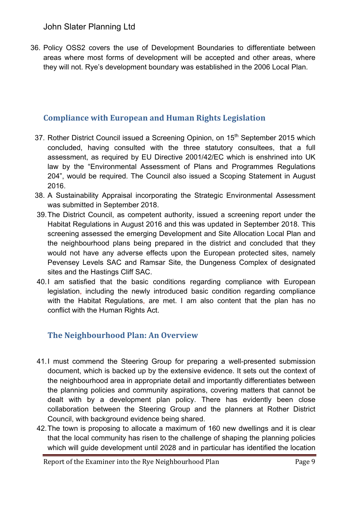36. Policy OSS2 covers the use of Development Boundaries to differentiate between areas where most forms of development will be accepted and other areas, where they will not. Rye's development boundary was established in the 2006 Local Plan.

# **Compliance with European and Human Rights Legislation**

- 37. Rother District Council issued a Screening Opinion, on 15<sup>th</sup> September 2015 which concluded, having consulted with the three statutory consultees, that a full assessment, as required by EU Directive 2001/42/EC which is enshrined into UK law by the "Environmental Assessment of Plans and Programmes Regulations 204", would be required. The Council also issued a Scoping Statement in August 2016.
- 38. A Sustainability Appraisal incorporating the Strategic Environmental Assessment was submitted in September 2018.
- 39.The District Council, as competent authority, issued a screening report under the Habitat Regulations in August 2016 and this was updated in September 2018. This screening assessed the emerging Development and Site Allocation Local Plan and the neighbourhood plans being prepared in the district and concluded that they would not have any adverse effects upon the European protected sites, namely Pevensey Levels SAC and Ramsar Site, the Dungeness Complex of designated sites and the Hastings Cliff SAC.
- 40.I am satisfied that the basic conditions regarding compliance with European legislation, including the newly introduced basic condition regarding compliance with the Habitat Regulations, are met. I am also content that the plan has no conflict with the Human Rights Act.

# **The Neighbourhood Plan: An Overview**

- 41.I must commend the Steering Group for preparing a well-presented submission document, which is backed up by the extensive evidence. It sets out the context of the neighbourhood area in appropriate detail and importantly differentiates between the planning policies and community aspirations, covering matters that cannot be dealt with by a development plan policy. There has evidently been close collaboration between the Steering Group and the planners at Rother District Council, with background evidence being shared.
- 42.The town is proposing to allocate a maximum of 160 new dwellings and it is clear that the local community has risen to the challenge of shaping the planning policies which will guide development until 2028 and in particular has identified the location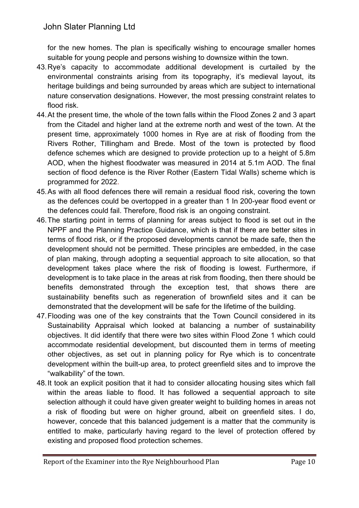for the new homes. The plan is specifically wishing to encourage smaller homes suitable for young people and persons wishing to downsize within the town.

- 43.Rye's capacity to accommodate additional development is curtailed by the environmental constraints arising from its topography, it's medieval layout, its heritage buildings and being surrounded by areas which are subject to international nature conservation designations. However, the most pressing constraint relates to flood risk.
- 44.At the present time, the whole of the town falls within the Flood Zones 2 and 3 apart from the Citadel and higher land at the extreme north and west of the town. At the present time, approximately 1000 homes in Rye are at risk of flooding from the Rivers Rother, Tillingham and Brede. Most of the town is protected by flood defence schemes which are designed to provide protection up to a height of 5.8m AOD, when the highest floodwater was measured in 2014 at 5.1m AOD. The final section of flood defence is the River Rother (Eastern Tidal Walls) scheme which is programmed for 2022.
- 45.As with all flood defences there will remain a residual flood risk, covering the town as the defences could be overtopped in a greater than 1 In 200-year flood event or the defences could fail. Therefore, flood risk is an ongoing constraint.
- 46.The starting point in terms of planning for areas subject to flood is set out in the NPPF and the Planning Practice Guidance, which is that if there are better sites in terms of flood risk, or if the proposed developments cannot be made safe, then the development should not be permitted. These principles are embedded, in the case of plan making, through adopting a sequential approach to site allocation, so that development takes place where the risk of flooding is lowest. Furthermore, if development is to take place in the areas at risk from flooding, then there should be benefits demonstrated through the exception test, that shows there are sustainability benefits such as regeneration of brownfield sites and it can be demonstrated that the development will be safe for the lifetime of the building.
- 47.Flooding was one of the key constraints that the Town Council considered in its Sustainability Appraisal which looked at balancing a number of sustainability objectives. It did identify that there were two sites within Flood Zone 1 which could accommodate residential development, but discounted them in terms of meeting other objectives, as set out in planning policy for Rye which is to concentrate development within the built-up area, to protect greenfield sites and to improve the "walkability" of the town.
- 48.It took an explicit position that it had to consider allocating housing sites which fall within the areas liable to flood. It has followed a sequential approach to site selection although it could have given greater weight to building homes in areas not a risk of flooding but were on higher ground, albeit on greenfield sites. I do, however, concede that this balanced judgement is a matter that the community is entitled to make, particularly having regard to the level of protection offered by existing and proposed flood protection schemes.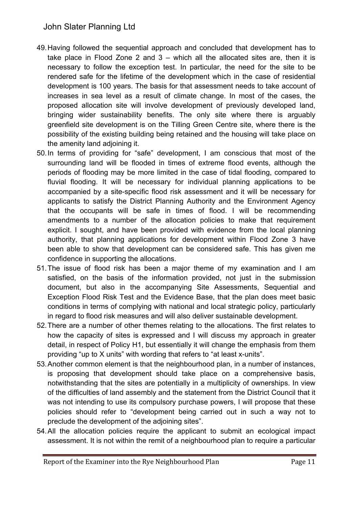John Slater Planning Ltd

- 49.Having followed the sequential approach and concluded that development has to take place in Flood Zone 2 and  $3$  – which all the allocated sites are, then it is necessary to follow the exception test. In particular, the need for the site to be rendered safe for the lifetime of the development which in the case of residential development is 100 years. The basis for that assessment needs to take account of increases in sea level as a result of climate change. In most of the cases, the proposed allocation site will involve development of previously developed land, bringing wider sustainability benefits. The only site where there is arguably greenfield site development is on the Tilling Green Centre site, where there is the possibility of the existing building being retained and the housing will take place on the amenity land adjoining it.
- 50.In terms of providing for "safe" development, I am conscious that most of the surrounding land will be flooded in times of extreme flood events, although the periods of flooding may be more limited in the case of tidal flooding, compared to fluvial flooding. It will be necessary for individual planning applications to be accompanied by a site-specific flood risk assessment and it will be necessary for applicants to satisfy the District Planning Authority and the Environment Agency that the occupants will be safe in times of flood. I will be recommending amendments to a number of the allocation policies to make that requirement explicit. I sought, and have been provided with evidence from the local planning authority, that planning applications for development within Flood Zone 3 have been able to show that development can be considered safe. This has given me confidence in supporting the allocations.
- 51.The issue of flood risk has been a major theme of my examination and I am satisfied, on the basis of the information provided, not just in the submission document, but also in the accompanying Site Assessments, Sequential and Exception Flood Risk Test and the Evidence Base, that the plan does meet basic conditions in terms of complying with national and local strategic policy, particularly in regard to flood risk measures and will also deliver sustainable development.
- 52.There are a number of other themes relating to the allocations. The first relates to how the capacity of sites is expressed and I will discuss my approach in greater detail, in respect of Policy H1, but essentially it will change the emphasis from them providing "up to X units" with wording that refers to "at least x-units".
- 53.Another common element is that the neighbourhood plan, in a number of instances, is proposing that development should take place on a comprehensive basis, notwithstanding that the sites are potentially in a multiplicity of ownerships. In view of the difficulties of land assembly and the statement from the District Council that it was not intending to use its compulsory purchase powers, I will propose that these policies should refer to "development being carried out in such a way not to preclude the development of the adjoining sites".
- 54.All the allocation policies require the applicant to submit an ecological impact assessment. It is not within the remit of a neighbourhood plan to require a particular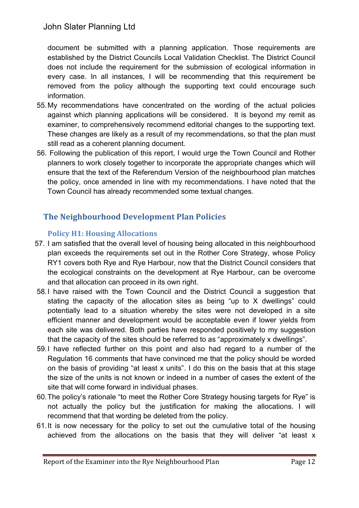document be submitted with a planning application. Those requirements are established by the District Councils Local Validation Checklist. The District Council does not include the requirement for the submission of ecological information in every case. In all instances, I will be recommending that this requirement be removed from the policy although the supporting text could encourage such information.

- 55.My recommendations have concentrated on the wording of the actual policies against which planning applications will be considered. It is beyond my remit as examiner, to comprehensively recommend editorial changes to the supporting text. These changes are likely as a result of my recommendations, so that the plan must still read as a coherent planning document.
- 56. Following the publication of this report, I would urge the Town Council and Rother planners to work closely together to incorporate the appropriate changes which will ensure that the text of the Referendum Version of the neighbourhood plan matches the policy, once amended in line with my recommendations. I have noted that the Town Council has already recommended some textual changes.

## **The Neighbourhood Development Plan Policies**

## **Policy H1: Housing Allocations**

- 57. I am satisfied that the overall level of housing being allocated in this neighbourhood plan exceeds the requirements set out in the Rother Core Strategy, whose Policy RY1 covers both Rye and Rye Harbour, now that the District Council considers that the ecological constraints on the development at Rye Harbour, can be overcome and that allocation can proceed in its own right.
- 58.I have raised with the Town Council and the District Council a suggestion that stating the capacity of the allocation sites as being "up to X dwellings" could potentially lead to a situation whereby the sites were not developed in a site efficient manner and development would be acceptable even if lower yields from each site was delivered. Both parties have responded positively to my suggestion that the capacity of the sites should be referred to as "approximately x dwellings".
- 59.I have reflected further on this point and also had regard to a number of the Regulation 16 comments that have convinced me that the policy should be worded on the basis of providing "at least x units". I do this on the basis that at this stage the size of the units is not known or indeed in a number of cases the extent of the site that will come forward in individual phases.
- 60.The policy's rationale "to meet the Rother Core Strategy housing targets for Rye" is not actually the policy but the justification for making the allocations. I will recommend that that wording be deleted from the policy.
- 61.It is now necessary for the policy to set out the cumulative total of the housing achieved from the allocations on the basis that they will deliver "at least x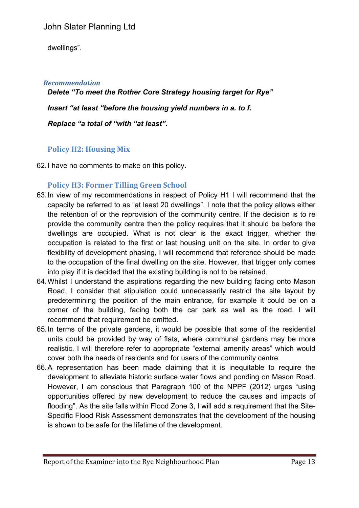dwellings".

#### *Recommendation*

 *Delete "To meet the Rother Core Strategy housing target for Rye" Insert "at least "before the housing yield numbers in a. to f. Replace "a total of "with "at least".*

## **Policy H2: Housing Mix**

62.I have no comments to make on this policy.

## **Policy H3: Former Tilling Green School**

- 63.In view of my recommendations in respect of Policy H1 I will recommend that the capacity be referred to as "at least 20 dwellings". I note that the policy allows either the retention of or the reprovision of the community centre. If the decision is to re provide the community centre then the policy requires that it should be before the dwellings are occupied. What is not clear is the exact trigger, whether the occupation is related to the first or last housing unit on the site. In order to give flexibility of development phasing, I will recommend that reference should be made to the occupation of the final dwelling on the site. However, that trigger only comes into play if it is decided that the existing building is not to be retained.
- 64.Whilst I understand the aspirations regarding the new building facing onto Mason Road, I consider that stipulation could unnecessarily restrict the site layout by predetermining the position of the main entrance, for example it could be on a corner of the building, facing both the car park as well as the road. I will recommend that requirement be omitted.
- 65.In terms of the private gardens, it would be possible that some of the residential units could be provided by way of flats, where communal gardens may be more realistic. I will therefore refer to appropriate "external amenity areas" which would cover both the needs of residents and for users of the community centre.
- 66.A representation has been made claiming that it is inequitable to require the development to alleviate historic surface water flows and ponding on Mason Road. However, I am conscious that Paragraph 100 of the NPPF (2012) urges "using opportunities offered by new development to reduce the causes and impacts of flooding". As the site falls within Flood Zone 3, I will add a requirement that the Site-Specific Flood Risk Assessment demonstrates that the development of the housing is shown to be safe for the lifetime of the development.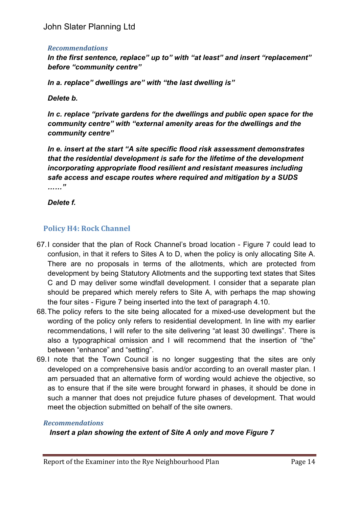#### *Recommendations*

*In the first sentence, replace" up to" with "at least" and insert "replacement" before "community centre"*

*In a. replace" dwellings are" with "the last dwelling is"*

*Delete b.*

*In c. replace "private gardens for the dwellings and public open space for the community centre" with "external amenity areas for the dwellings and the community centre"*

*In e. insert at the start "A site specific flood risk assessment demonstrates that the residential development is safe for the lifetime of the development incorporating appropriate flood resilient and resistant measures including safe access and escape routes where required and mitigation by a SUDS ……"*

*Delete f.*

## **Policy H4: Rock Channel**

- 67.I consider that the plan of Rock Channel's broad location Figure 7 could lead to confusion, in that it refers to Sites A to D, when the policy is only allocating Site A. There are no proposals in terms of the allotments, which are protected from development by being Statutory Allotments and the supporting text states that Sites C and D may deliver some windfall development. I consider that a separate plan should be prepared which merely refers to Site A, with perhaps the map showing the four sites - Figure 7 being inserted into the text of paragraph 4.10.
- 68.The policy refers to the site being allocated for a mixed-use development but the wording of the policy only refers to residential development. In line with my earlier recommendations, I will refer to the site delivering "at least 30 dwellings". There is also a typographical omission and I will recommend that the insertion of "the" between "enhance" and "setting".
- 69.I note that the Town Council is no longer suggesting that the sites are only developed on a comprehensive basis and/or according to an overall master plan. I am persuaded that an alternative form of wording would achieve the objective, so as to ensure that if the site were brought forward in phases, it should be done in such a manner that does not prejudice future phases of development. That would meet the objection submitted on behalf of the site owners.

#### *Recommendations*

#### *Insert a plan showing the extent of Site A only and move Figure 7*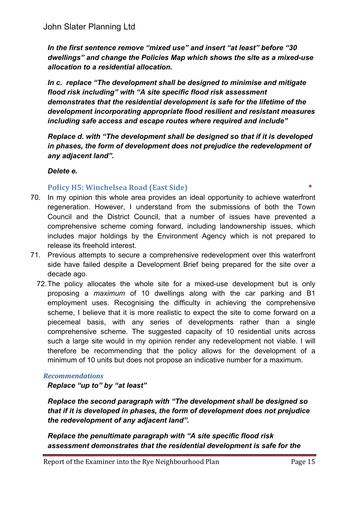*In the first sentence remove "mixed use" and insert "at least" before "30 dwellings" and change the Policies Map which shows the site as a mixed-use allocation to a residential allocation.*

*In c. replace "The development shall be designed to minimise and mitigate flood risk including" with "A site specific flood risk assessment demonstrates that the residential development is safe for the lifetime of the development incorporating appropriate flood resilient and resistant measures including safe access and escape routes where required and include"*

*Replace d. with "The development shall be designed so that if it is developed in phases, the form of development does not prejudice the redevelopment of any adjacent land".*

#### *Delete e.*

**Policy H5: Winchelsea Road (East Side)** 

- 70. In my opinion this whole area provides an ideal opportunity to achieve waterfront regeneration. However, I understand from the submissions of both the Town Council and the District Council, that a number of issues have prevented a comprehensive scheme coming forward, including landownership issues, which includes major holdings by the Environment Agency which is not prepared to release its freehold interest.
- 71. Previous attempts to secure a comprehensive redevelopment over this waterfront side have failed despite a Development Brief being prepared for the site over a decade ago.
	- 72.The policy allocates the whole site for a mixed-use development but is only proposing a *maximum* of 10 dwellings along with the car parking and B1 employment uses. Recognising the difficulty in achieving the comprehensive scheme, I believe that it is more realistic to expect the site to come forward on a piecemeal basis, with any series of developments rather than a single comprehensive scheme. The suggested capacity of 10 residential units across such a large site would in my opinion render any redevelopment not viable. I will therefore be recommending that the policy allows for the development of a minimum of 10 units but does not propose an indicative number for a maximum.

#### *Recommendations*

*Replace "up to" by "at least"*

*Replace the second paragraph with "The development shall be designed so that if it is developed in phases, the form of development does not prejudice the redevelopment of any adjacent land".*

*Replace the penultimate paragraph with "A site specific flood risk assessment demonstrates that the residential development is safe for the*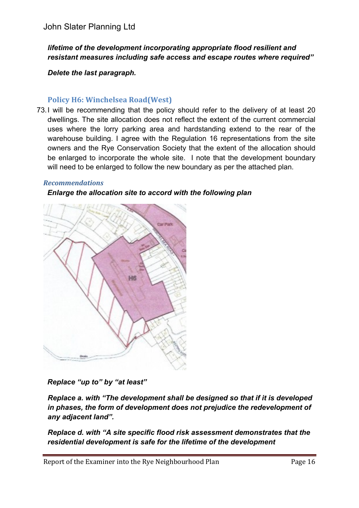#### *lifetime of the development incorporating appropriate flood resilient and resistant measures including safe access and escape routes where required"*

*Delete the last paragraph.*

#### **Policy H6: Winchelsea Road(West)**

73.I will be recommending that the policy should refer to the delivery of at least 20 dwellings. The site allocation does not reflect the extent of the current commercial uses where the lorry parking area and hardstanding extend to the rear of the warehouse building. I agree with the Regulation 16 representations from the site owners and the Rye Conservation Society that the extent of the allocation should be enlarged to incorporate the whole site. I note that the development boundary will need to be enlarged to follow the new boundary as per the attached plan.

#### *Recommendations*

#### *Enlarge the allocation site to accord with the following plan*



*Replace "up to" by "at least"*

*Replace a. with "The development shall be designed so that if it is developed in phases, the form of development does not prejudice the redevelopment of any adjacent land".*

*Replace d. with "A site specific flood risk assessment demonstrates that the residential development is safe for the lifetime of the development*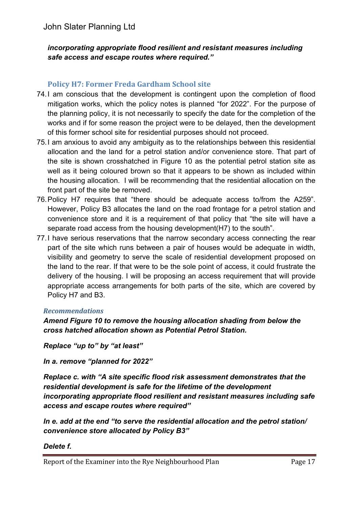#### *incorporating appropriate flood resilient and resistant measures including safe access and escape routes where required."*

## **Policy H7: Former Freda Gardham School site**

- 74.I am conscious that the development is contingent upon the completion of flood mitigation works, which the policy notes is planned "for 2022". For the purpose of the planning policy, it is not necessarily to specify the date for the completion of the works and if for some reason the project were to be delayed, then the development of this former school site for residential purposes should not proceed.
- 75.I am anxious to avoid any ambiguity as to the relationships between this residential allocation and the land for a petrol station and/or convenience store. That part of the site is shown crosshatched in Figure 10 as the potential petrol station site as well as it being coloured brown so that it appears to be shown as included within the housing allocation. I will be recommending that the residential allocation on the front part of the site be removed.
- 76.Policy H7 requires that "there should be adequate access to/from the A259". However, Policy B3 allocates the land on the road frontage for a petrol station and convenience store and it is a requirement of that policy that "the site will have a separate road access from the housing development(H7) to the south".
- 77.I have serious reservations that the narrow secondary access connecting the rear part of the site which runs between a pair of houses would be adequate in width, visibility and geometry to serve the scale of residential development proposed on the land to the rear. If that were to be the sole point of access, it could frustrate the delivery of the housing. I will be proposing an access requirement that will provide appropriate access arrangements for both parts of the site, which are covered by Policy H7 and B3.

#### *Recommendations*

#### *Amend Figure 10 to remove the housing allocation shading from below the cross hatched allocation shown as Potential Petrol Station.*

*Replace "up to" by "at least"*

*In a. remove "planned for 2022"*

*Replace c. with "A site specific flood risk assessment demonstrates that the residential development is safe for the lifetime of the development incorporating appropriate flood resilient and resistant measures including safe access and escape routes where required"*

*In e. add at the end "to serve the residential allocation and the petrol station/ convenience store allocated by Policy B3"*

#### *Delete f.*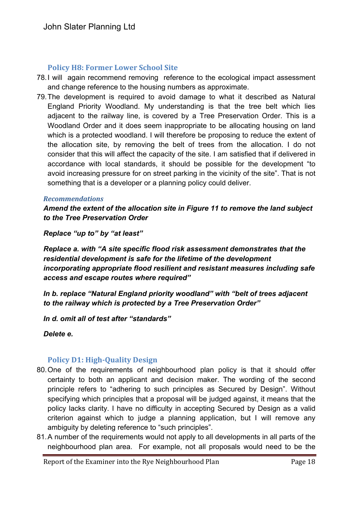#### **Policy H8: Former Lower School Site**

- 78.I will again recommend removing reference to the ecological impact assessment and change reference to the housing numbers as approximate.
- 79.The development is required to avoid damage to what it described as Natural England Priority Woodland. My understanding is that the tree belt which lies adjacent to the railway line, is covered by a Tree Preservation Order. This is a Woodland Order and it does seem inappropriate to be allocating housing on land which is a protected woodland. I will therefore be proposing to reduce the extent of the allocation site, by removing the belt of trees from the allocation. I do not consider that this will affect the capacity of the site. I am satisfied that if delivered in accordance with local standards, it should be possible for the development "to avoid increasing pressure for on street parking in the vicinity of the site". That is not something that is a developer or a planning policy could deliver.

#### *Recommendations*

*Amend the extent of the allocation site in Figure 11 to remove the land subject to the Tree Preservation Order*

*Replace "up to" by "at least"*

*Replace a. with "A site specific flood risk assessment demonstrates that the residential development is safe for the lifetime of the development incorporating appropriate flood resilient and resistant measures including safe access and escape routes where required"*

*In b. replace "Natural England priority woodland" with "belt of trees adjacent to the railway which is protected by a Tree Preservation Order"*

*In d. omit all of test after "standards"*

*Delete e.*

#### **Policy D1: High-Quality Design**

- 80.One of the requirements of neighbourhood plan policy is that it should offer certainty to both an applicant and decision maker. The wording of the second principle refers to "adhering to such principles as Secured by Design". Without specifying which principles that a proposal will be judged against, it means that the policy lacks clarity. I have no difficulty in accepting Secured by Design as a valid criterion against which to judge a planning application, but I will remove any ambiguity by deleting reference to "such principles".
- 81.A number of the requirements would not apply to all developments in all parts of the neighbourhood plan area. For example, not all proposals would need to be the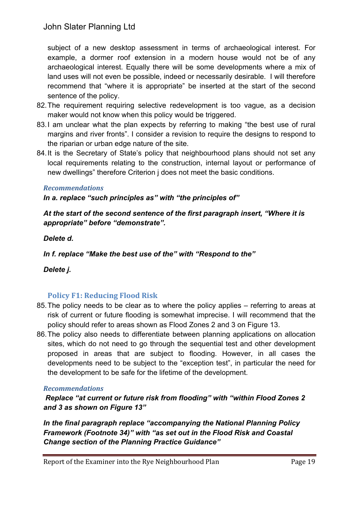subject of a new desktop assessment in terms of archaeological interest. For example, a dormer roof extension in a modern house would not be of any archaeological interest. Equally there will be some developments where a mix of land uses will not even be possible, indeed or necessarily desirable. I will therefore recommend that "where it is appropriate" be inserted at the start of the second sentence of the policy.

- 82.The requirement requiring selective redevelopment is too vague, as a decision maker would not know when this policy would be triggered.
- 83.I am unclear what the plan expects by referring to making "the best use of rural margins and river fronts". I consider a revision to require the designs to respond to the riparian or urban edge nature of the site.
- 84.It is the Secretary of State's policy that neighbourhood plans should not set any local requirements relating to the construction, internal layout or performance of new dwellings" therefore Criterion j does not meet the basic conditions.

#### *Recommendations*

*In a. replace "such principles as" with "the principles of"*

*At the start of the second sentence of the first paragraph insert, "Where it is appropriate" before "demonstrate".*

#### *Delete d.*

*In f. replace "Make the best use of the" with "Respond to the"*

## *Delete j.*

## **Policy F1: Reducing Flood Risk**

- 85.The policy needs to be clear as to where the policy applies referring to areas at risk of current or future flooding is somewhat imprecise. I will recommend that the policy should refer to areas shown as Flood Zones 2 and 3 on Figure 13.
- 86.The policy also needs to differentiate between planning applications on allocation sites, which do not need to go through the sequential test and other development proposed in areas that are subject to flooding. However, in all cases the developments need to be subject to the "exception test", in particular the need for the development to be safe for the lifetime of the development.

#### *Recommendations*

*Replace "at current or future risk from flooding" with "within Flood Zones 2 and 3 as shown on Figure 13"*

*In the final paragraph replace "accompanying the National Planning Policy Framework (Footnote 34)" with "as set out in the Flood Risk and Coastal Change section of the Planning Practice Guidance"*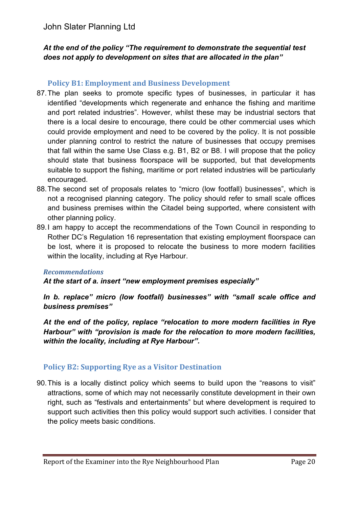#### *At the end of the policy "The requirement to demonstrate the sequential test does not apply to development on sites that are allocated in the plan"*

#### **Policy B1: Employment and Business Development**

- 87.The plan seeks to promote specific types of businesses, in particular it has identified "developments which regenerate and enhance the fishing and maritime and port related industries". However, whilst these may be industrial sectors that there is a local desire to encourage, there could be other commercial uses which could provide employment and need to be covered by the policy. It is not possible under planning control to restrict the nature of businesses that occupy premises that fall within the same Use Class e.g. B1, B2 or B8. I will propose that the policy should state that business floorspace will be supported, but that developments suitable to support the fishing, maritime or port related industries will be particularly encouraged.
- 88.The second set of proposals relates to "micro (low footfall) businesses", which is not a recognised planning category. The policy should refer to small scale offices and business premises within the Citadel being supported, where consistent with other planning policy.
- 89.I am happy to accept the recommendations of the Town Council in responding to Rother DC's Regulation 16 representation that existing employment floorspace can be lost, where it is proposed to relocate the business to more modern facilities within the locality, including at Rye Harbour.

#### *Recommendations*

*At the start of a. insert "new employment premises especially"*

*In b. replace" micro (low footfall) businesses" with "small scale office and business premises"*

*At the end of the policy, replace "relocation to more modern facilities in Rye Harbour" with "provision is made for the relocation to more modern facilities, within the locality, including at Rye Harbour".*

## **Policy B2: Supporting Rye as a Visitor Destination**

90.This is a locally distinct policy which seems to build upon the "reasons to visit" attractions, some of which may not necessarily constitute development in their own right, such as "festivals and entertainments" but where development is required to support such activities then this policy would support such activities. I consider that the policy meets basic conditions.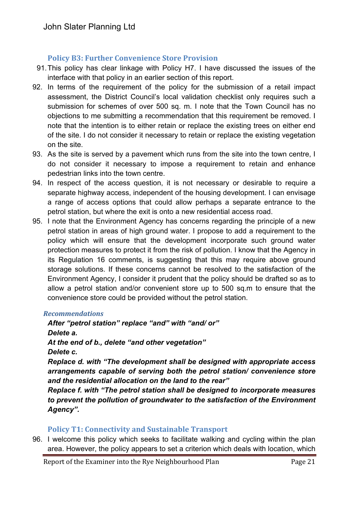## **Policy B3: Further Convenience Store Provision**

- 91.This policy has clear linkage with Policy H7. I have discussed the issues of the interface with that policy in an earlier section of this report.
- 92. In terms of the requirement of the policy for the submission of a retail impact assessment, the District Council's local validation checklist only requires such a submission for schemes of over 500 sq. m. I note that the Town Council has no objections to me submitting a recommendation that this requirement be removed. I note that the intention is to either retain or replace the existing trees on either end of the site. I do not consider it necessary to retain or replace the existing vegetation on the site.
- 93. As the site is served by a pavement which runs from the site into the town centre, I do not consider it necessary to impose a requirement to retain and enhance pedestrian links into the town centre.
- 94. In respect of the access question, it is not necessary or desirable to require a separate highway access, independent of the housing development. I can envisage a range of access options that could allow perhaps a separate entrance to the petrol station, but where the exit is onto a new residential access road.
- 95. I note that the Environment Agency has concerns regarding the principle of a new petrol station in areas of high ground water. I propose to add a requirement to the policy which will ensure that the development incorporate such ground water protection measures to protect it from the risk of pollution. I know that the Agency in its Regulation 16 comments, is suggesting that this may require above ground storage solutions. If these concerns cannot be resolved to the satisfaction of the Environment Agency, I consider it prudent that the policy should be drafted so as to allow a petrol station and/or convenient store up to 500 sq.m to ensure that the convenience store could be provided without the petrol station.

#### *Recommendations*

*After "petrol station" replace "and" with "and/ or" Delete a. At the end of b., delete "and other vegetation" Delete c.*

*Replace d. with "The development shall be designed with appropriate access arrangements capable of serving both the petrol station/ convenience store and the residential allocation on the land to the rear"*

*Replace f. with "The petrol station shall be designed to incorporate measures to prevent the pollution of groundwater to the satisfaction of the Environment Agency".*

## **Policy T1: Connectivity and Sustainable Transport**

96. I welcome this policy which seeks to facilitate walking and cycling within the plan area. However, the policy appears to set a criterion which deals with location, which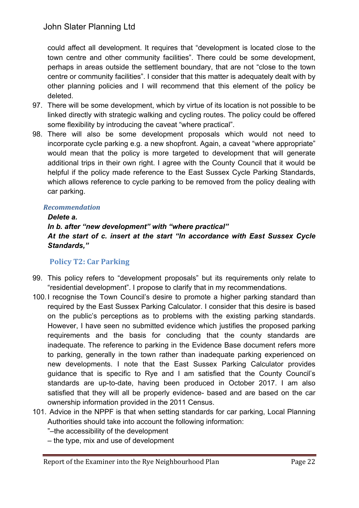could affect all development. It requires that "development is located close to the town centre and other community facilities". There could be some development, perhaps in areas outside the settlement boundary, that are not "close to the town centre or community facilities". I consider that this matter is adequately dealt with by other planning policies and I will recommend that this element of the policy be deleted.

- 97. There will be some development, which by virtue of its location is not possible to be linked directly with strategic walking and cycling routes. The policy could be offered some flexibility by introducing the caveat "where practical".
- 98. There will also be some development proposals which would not need to incorporate cycle parking e.g. a new shopfront. Again, a caveat "where appropriate" would mean that the policy is more targeted to development that will generate additional trips in their own right. I agree with the County Council that it would be helpful if the policy made reference to the East Sussex Cycle Parking Standards, which allows reference to cycle parking to be removed from the policy dealing with car parking.

#### *Recommendation*

#### *Delete a.*

*In b. after "new development" with "where practical" At the start of c. insert at the start "In accordance with East Sussex Cycle Standards,"*

## **Policy T2: Car Parking**

- 99. This policy refers to "development proposals" but its requirements only relate to "residential development". I propose to clarify that in my recommendations.
- 100. I recognise the Town Council's desire to promote a higher parking standard than required by the East Sussex Parking Calculator. I consider that this desire is based on the public's perceptions as to problems with the existing parking standards. However, I have seen no submitted evidence which justifies the proposed parking requirements and the basis for concluding that the county standards are inadequate. The reference to parking in the Evidence Base document refers more to parking, generally in the town rather than inadequate parking experienced on new developments. I note that the East Sussex Parking Calculator provides guidance that is specific to Rye and I am satisfied that the County Council's standards are up-to-date, having been produced in October 2017. I am also satisfied that they will all be properly evidence- based and are based on the car ownership information provided in the 2011 Census.
- 101. Advice in the NPPF is that when setting standards for car parking, Local Planning Authorities should take into account the following information:

"–the accessibility of the development

– the type, mix and use of development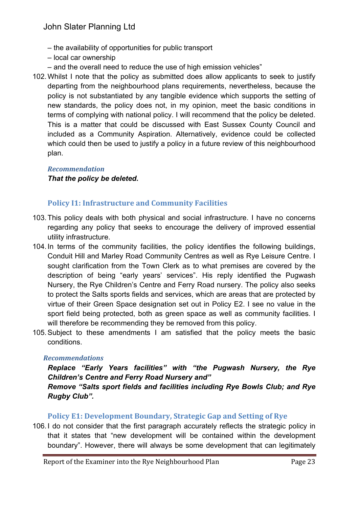- the availability of opportunities for public transport
- local car ownership
- and the overall need to reduce the use of high emission vehicles"
- 102.Whilst I note that the policy as submitted does allow applicants to seek to justify departing from the neighbourhood plans requirements, nevertheless, because the policy is not substantiated by any tangible evidence which supports the setting of new standards, the policy does not, in my opinion, meet the basic conditions in terms of complying with national policy. I will recommend that the policy be deleted. This is a matter that could be discussed with East Sussex County Council and included as a Community Aspiration. Alternatively, evidence could be collected which could then be used to justify a policy in a future review of this neighbourhood plan.

#### *Recommendation That the policy be deleted.*

## **Policy I1: Infrastructure and Community Facilities**

- 103.This policy deals with both physical and social infrastructure. I have no concerns regarding any policy that seeks to encourage the delivery of improved essential utility infrastructure.
- 104. In terms of the community facilities, the policy identifies the following buildings, Conduit Hill and Marley Road Community Centres as well as Rye Leisure Centre. I sought clarification from the Town Clerk as to what premises are covered by the description of being "early years' services". His reply identified the Pugwash Nursery, the Rye Children's Centre and Ferry Road nursery. The policy also seeks to protect the Salts sports fields and services, which are areas that are protected by virtue of their Green Space designation set out in Policy E2. I see no value in the sport field being protected, both as green space as well as community facilities. I will therefore be recommending they be removed from this policy.
- 105.Subject to these amendments I am satisfied that the policy meets the basic conditions.

#### *Recommendations*

## *Replace "Early Years facilities" with "the Pugwash Nursery, the Rye Children's Centre and Ferry Road Nursery and"*

*Remove "Salts sport fields and facilities including Rye Bowls Club; and Rye Rugby Club".*

## **Policy E1: Development Boundary, Strategic Gap and Setting of Rye**

106. I do not consider that the first paragraph accurately reflects the strategic policy in that it states that "new development will be contained within the development boundary". However, there will always be some development that can legitimately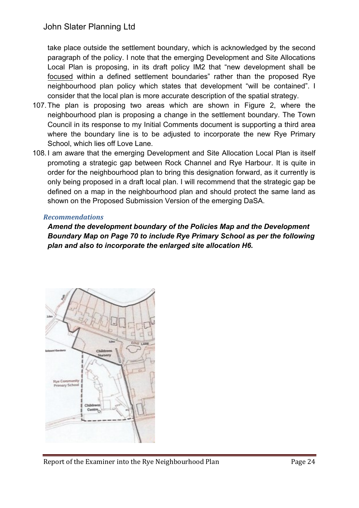take place outside the settlement boundary, which is acknowledged by the second paragraph of the policy. I note that the emerging Development and Site Allocations Local Plan is proposing, in its draft policy IM2 that "new development shall be focused within a defined settlement boundaries" rather than the proposed Rye neighbourhood plan policy which states that development "will be contained". I consider that the local plan is more accurate description of the spatial strategy.

- 107.The plan is proposing two areas which are shown in Figure 2, where the neighbourhood plan is proposing a change in the settlement boundary. The Town Council in its response to my Initial Comments document is supporting a third area where the boundary line is to be adjusted to incorporate the new Rye Primary School, which lies off Love Lane.
- 108. I am aware that the emerging Development and Site Allocation Local Plan is itself promoting a strategic gap between Rock Channel and Rye Harbour. It is quite in order for the neighbourhood plan to bring this designation forward, as it currently is only being proposed in a draft local plan. I will recommend that the strategic gap be defined on a map in the neighbourhood plan and should protect the same land as shown on the Proposed Submission Version of the emerging DaSA.

#### *Recommendations*

*Amend the development boundary of the Policies Map and the Development Boundary Map on Page 70 to include Rye Primary School as per the following plan and also to incorporate the enlarged site allocation H6.*

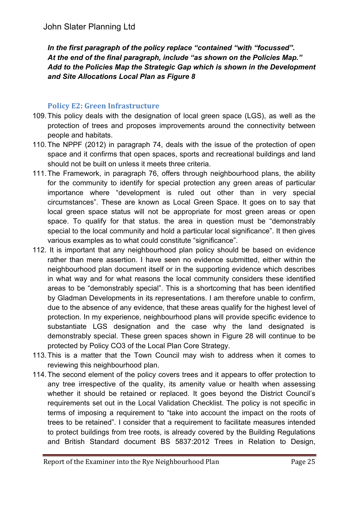*In the first paragraph of the policy replace "contained "with "focussed". At the end of the final paragraph, include "as shown on the Policies Map." Add to the Policies Map the Strategic Gap which is shown in the Development and Site Allocations Local Plan as Figure 8*

#### **Policy E2: Green Infrastructure**

- 109.This policy deals with the designation of local green space (LGS), as well as the protection of trees and proposes improvements around the connectivity between people and habitats.
- 110.The NPPF (2012) in paragraph 74, deals with the issue of the protection of open space and it confirms that open spaces, sports and recreational buildings and land should not be built on unless it meets three criteria.
- 111.The Framework, in paragraph 76, offers through neighbourhood plans, the ability for the community to identify for special protection any green areas of particular importance where "development is ruled out other than in very special circumstances". These are known as Local Green Space. It goes on to say that local green space status will not be appropriate for most green areas or open space. To qualify for that status. the area in question must be "demonstrably special to the local community and hold a particular local significance". It then gives various examples as to what could constitute "significance".
- 112. It is important that any neighbourhood plan policy should be based on evidence rather than mere assertion. I have seen no evidence submitted, either within the neighbourhood plan document itself or in the supporting evidence which describes in what way and for what reasons the local community considers these identified areas to be "demonstrably special". This is a shortcoming that has been identified by Gladman Developments in its representations. I am therefore unable to confirm, due to the absence of any evidence, that these areas qualify for the highest level of protection. In my experience, neighbourhood plans will provide specific evidence to substantiate LGS designation and the case why the land designated is demonstrably special. These green spaces shown in Figure 28 will continue to be protected by Policy CO3 of the Local Plan Core Strategy.
- 113.This is a matter that the Town Council may wish to address when it comes to reviewing this neighbourhood plan.
- 114.The second element of the policy covers trees and it appears to offer protection to any tree irrespective of the quality, its amenity value or health when assessing whether it should be retained or replaced. It goes beyond the District Council's requirements set out in the Local Validation Checklist. The policy is not specific in terms of imposing a requirement to "take into account the impact on the roots of trees to be retained". I consider that a requirement to facilitate measures intended to protect buildings from tree roots, is already covered by the Building Regulations and British Standard document BS 5837:2012 Trees in Relation to Design,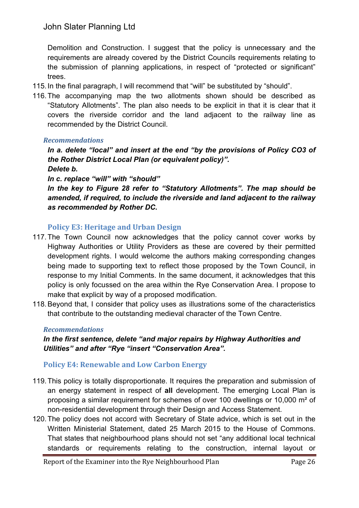Demolition and Construction. I suggest that the policy is unnecessary and the requirements are already covered by the District Councils requirements relating to the submission of planning applications, in respect of "protected or significant" trees.

- 115. In the final paragraph, I will recommend that "will" be substituted by "should".
- 116.The accompanying map the two allotments shown should be described as "Statutory Allotments". The plan also needs to be explicit in that it is clear that it covers the riverside corridor and the land adjacent to the railway line as recommended by the District Council.

#### *Recommendations*

*In a. delete "local" and insert at the end "by the provisions of Policy CO3 of the Rother District Local Plan (or equivalent policy)".*

*Delete b.*

*In c. replace "will" with "should"*

*In the key to Figure 28 refer to "Statutory Allotments". The map should be amended, if required, to include the riverside and land adjacent to the railway as recommended by Rother DC.*

## **Policy E3: Heritage and Urban Design**

- 117.The Town Council now acknowledges that the policy cannot cover works by Highway Authorities or Utility Providers as these are covered by their permitted development rights. I would welcome the authors making corresponding changes being made to supporting text to reflect those proposed by the Town Council, in response to my Initial Comments. In the same document, it acknowledges that this policy is only focussed on the area within the Rye Conservation Area. I propose to make that explicit by way of a proposed modification.
- 118.Beyond that, I consider that policy uses as illustrations some of the characteristics that contribute to the outstanding medieval character of the Town Centre.

#### *Recommendations*

*In the first sentence, delete "and major repairs by Highway Authorities and Utilities" and after "Rye "insert "Conservation Area".*

## **Policy E4: Renewable and Low Carbon Energy**

- 119.This policy is totally disproportionate. It requires the preparation and submission of an energy statement in respect of **all** development. The emerging Local Plan is proposing a similar requirement for schemes of over 100 dwellings or 10,000 m² of non-residential development through their Design and Access Statement.
- 120.The policy does not accord with Secretary of State advice, which is set out in the Written Ministerial Statement, dated 25 March 2015 to the House of Commons. That states that neighbourhood plans should not set "any additional local technical standards or requirements relating to the construction, internal layout or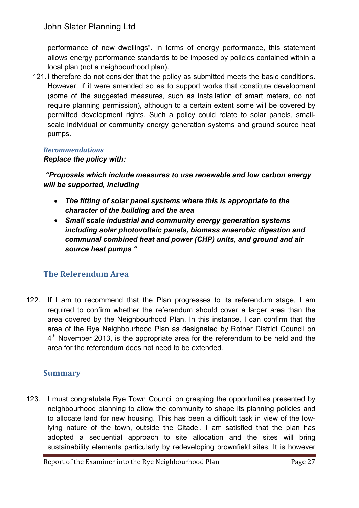performance of new dwellings". In terms of energy performance, this statement allows energy performance standards to be imposed by policies contained within a local plan (not a neighbourhood plan).

121. I therefore do not consider that the policy as submitted meets the basic conditions. However, if it were amended so as to support works that constitute development (some of the suggested measures, such as installation of smart meters, do not require planning permission), although to a certain extent some will be covered by permitted development rights. Such a policy could relate to solar panels, smallscale individual or community energy generation systems and ground source heat pumps.

#### *Recommendations*

#### *Replace the policy with:*

*"Proposals which include measures to use renewable and low carbon energy will be supported, including* 

- *The fitting of solar panel systems where this is appropriate to the character of the building and the area*
- *Small scale industrial and community energy generation systems including solar photovoltaic panels, biomass anaerobic digestion and communal combined heat and power (CHP) units, and ground and air source heat pumps "*

## **The Referendum Area**

122. If I am to recommend that the Plan progresses to its referendum stage, I am required to confirm whether the referendum should cover a larger area than the area covered by the Neighbourhood Plan. In this instance, I can confirm that the area of the Rye Neighbourhood Plan as designated by Rother District Council on 4<sup>th</sup> November 2013, is the appropriate area for the referendum to be held and the area for the referendum does not need to be extended.

## **Summary**

123. I must congratulate Rye Town Council on grasping the opportunities presented by neighbourhood planning to allow the community to shape its planning policies and to allocate land for new housing. This has been a difficult task in view of the lowlying nature of the town, outside the Citadel. I am satisfied that the plan has adopted a sequential approach to site allocation and the sites will bring sustainability elements particularly by redeveloping brownfield sites. It is however